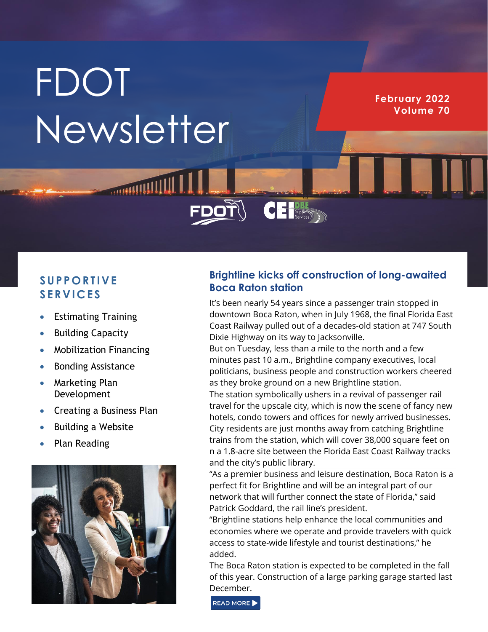# **FDOT** Newsletter

**February 2022 Volume 70**

## **S U P P O R T I V E S E R V I C E S**

- Estimating Training
- **Building Capacity**
- Mobilization Financing
- Bonding Assistance
- Marketing Plan Development
- Creating a Business Plan
- Building a Website
- Plan Reading



## **Brightline kicks off construction of long-awaited Boca Raton station**

 $\overline{\textbf{C}}$   $\textbf{E}$   $\text{Suppose}$ 

It's been nearly 54 years since a passenger train stopped in downtown Boca Raton, when in July 1968, the final Florida East Coast Railway pulled out of a decades-old station at 747 South Dixie Highway on its way to Jacksonville.

But on Tuesday, less than a mile to the north and a few minutes past 10 a.m., Brightline company executives, local politicians, business people and construction workers cheered as they broke ground on a new Brightline station.

The station symbolically ushers in a revival of passenger rail travel for the upscale city, which is now the scene of fancy new hotels, condo towers and offices for newly arrived businesses. City residents are just months away from catching Brightline trains from the station, which will cover 38,000 square feet on n a 1.8-acre site between the Florida East Coast Railway tracks and the city's public library.

"As a premier business and leisure destination, Boca Raton is a perfect fit for Brightline and will be an integral part of our network that will further connect the state of Florida," said Patrick Goddard, the rail line's president.

"Brightline stations help enhance the local communities and economies where we operate and provide travelers with quick access to state-wide lifestyle and tourist destinations," he added.

The Boca Raton station is expected to be completed in the fall of this year. Construction of a large parking garage started last December.

READ MORE